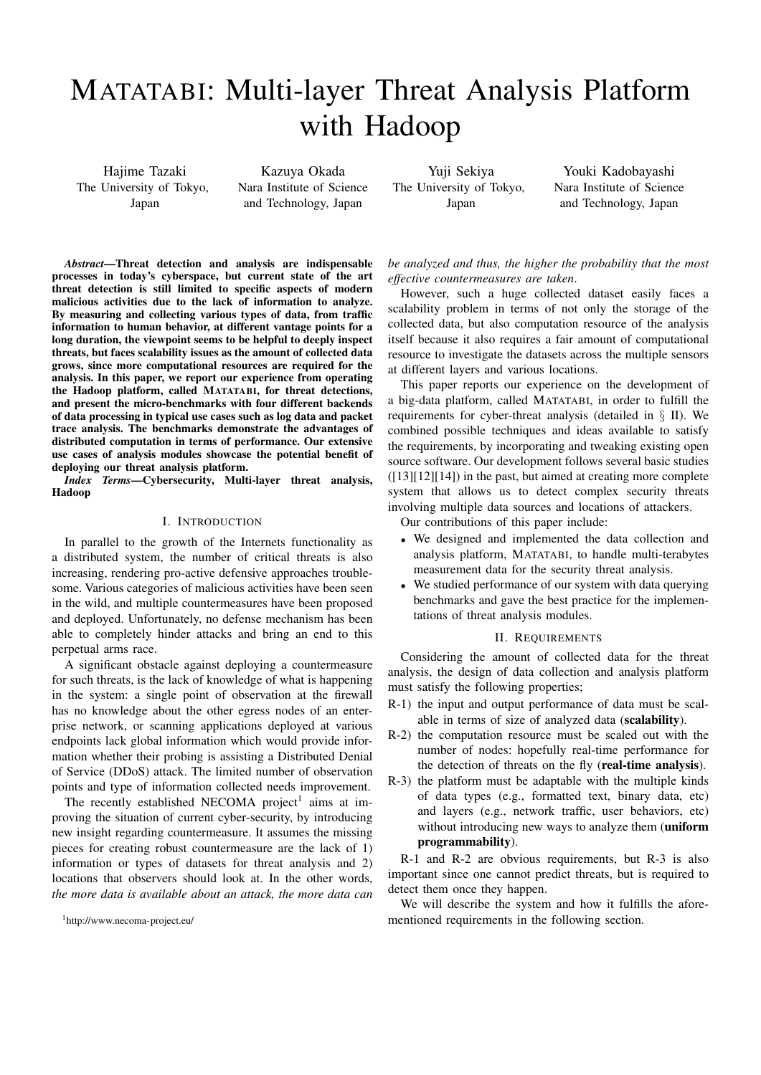# MATATABI: Multi-layer Threat Analysis Platform with Hadoop

Hajime Tazaki The University of Tokyo, Japan

Kazuya Okada Nara Institute of Science and Technology, Japan

Yuji Sekiya The University of Tokyo, Japan

Youki Kadobayashi Nara Institute of Science and Technology, Japan

*Abstract*—Threat detection and analysis are indispensable processes in today's cyberspace, but current state of the art threat detection is still limited to specific aspects of modern malicious activities due to the lack of information to analyze. By measuring and collecting various types of data, from traffic information to human behavior, at different vantage points for a long duration, the viewpoint seems to be helpful to deeply inspect threats, but faces scalability issues as the amount of collected data grows, since more computational resources are required for the analysis. In this paper, we report our experience from operating the Hadoop platform, called MATATABI, for threat detections, and present the micro-benchmarks with four different backends of data processing in typical use cases such as log data and packet trace analysis. The benchmarks demonstrate the advantages of distributed computation in terms of performance. Our extensive use cases of analysis modules showcase the potential benefit of deploying our threat analysis platform.

*Index Terms*—Cybersecurity, Multi-layer threat analysis, Hadoop

## I. INTRODUCTION

In parallel to the growth of the Internets functionality as a distributed system, the number of critical threats is also increasing, rendering pro-active defensive approaches troublesome. Various categories of malicious activities have been seen in the wild, and multiple countermeasures have been proposed and deployed. Unfortunately, no defense mechanism has been able to completely hinder attacks and bring an end to this perpetual arms race.

A significant obstacle against deploying a countermeasure for such threats, is the lack of knowledge of what is happening in the system: a single point of observation at the firewall has no knowledge about the other egress nodes of an enterprise network, or scanning applications deployed at various endpoints lack global information which would provide information whether their probing is assisting a Distributed Denial of Service (DDoS) attack. The limited number of observation points and type of information collected needs improvement.

The recently established NECOMA project<sup>1</sup> aims at improving the situation of current cyber-security, by introducing new insight regarding countermeasure. It assumes the missing pieces for creating robust countermeasure are the lack of 1) information or types of datasets for threat analysis and 2) locations that observers should look at. In the other words, *the more data is available about an attack, the more data can*

*be analyzed and thus, the higher the probability that the most effective countermeasures are taken*.

However, such a huge collected dataset easily faces a scalability problem in terms of not only the storage of the collected data, but also computation resource of the analysis itself because it also requires a fair amount of computational resource to investigate the datasets across the multiple sensors at different layers and various locations.

This paper reports our experience on the development of a big-data platform, called MATATABI, in order to fulfill the requirements for cyber-threat analysis (detailed in § II). We combined possible techniques and ideas available to satisfy the requirements, by incorporating and tweaking existing open source software. Our development follows several basic studies  $([13][12][14])$  in the past, but aimed at creating more complete system that allows us to detect complex security threats involving multiple data sources and locations of attackers.

Our contributions of this paper include:

- We designed and implemented the data collection and analysis platform, MATATABI, to handle multi-terabytes measurement data for the security threat analysis.
- We studied performance of our system with data querying benchmarks and gave the best practice for the implementations of threat analysis modules.

# II. REQUIREMENTS

Considering the amount of collected data for the threat analysis, the design of data collection and analysis platform must satisfy the following properties;

- R-1) the input and output performance of data must be scalable in terms of size of analyzed data (scalability).
- R-2) the computation resource must be scaled out with the number of nodes: hopefully real-time performance for the detection of threats on the fly (real-time analysis).
- R-3) the platform must be adaptable with the multiple kinds of data types (e.g., formatted text, binary data, etc) and layers (e.g., network traffic, user behaviors, etc) without introducing new ways to analyze them (uniform programmability).

R-1 and R-2 are obvious requirements, but R-3 is also important since one cannot predict threats, but is required to detect them once they happen.

We will describe the system and how it fulfills the aforementioned requirements in the following section.

<sup>1</sup>http://www.necoma-project.eu/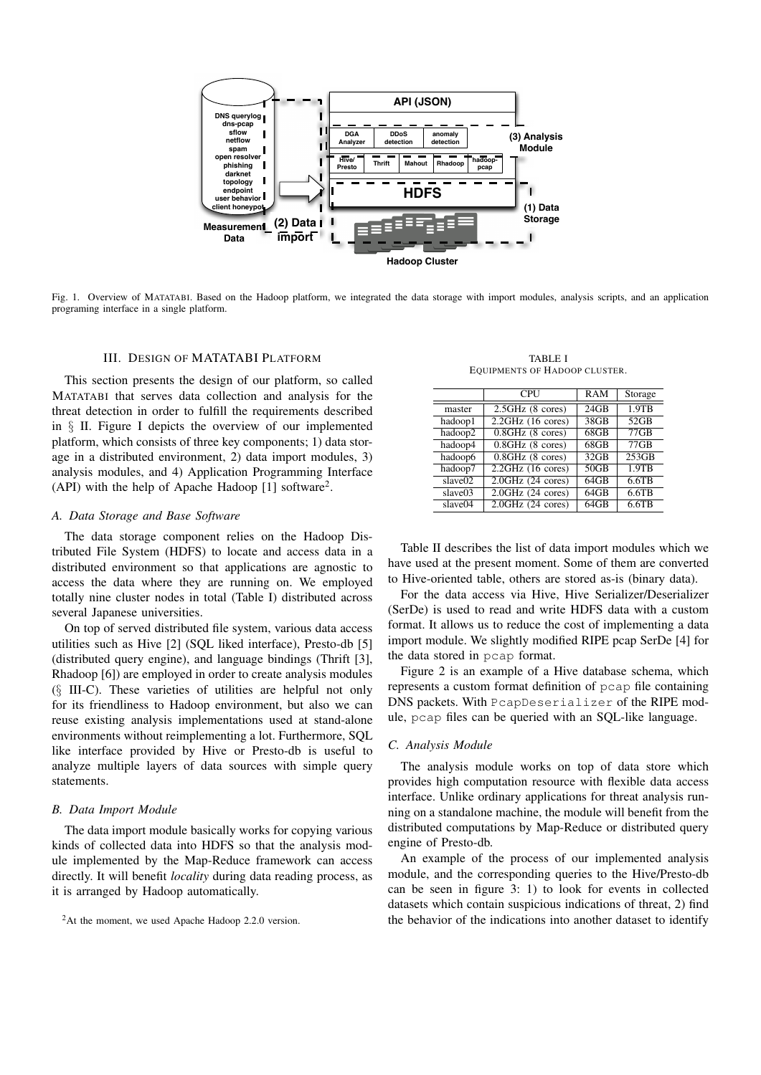

Fig. 1. Overview of MATATABI. Based on the Hadoop platform, we integrated the data storage with import modules, analysis scripts, and an application programing interface in a single platform.

# III. DESIGN OF MATATABI PLATFORM

This section presents the design of our platform, so called MATATABI that serves data collection and analysis for the threat detection in order to fulfill the requirements described in § II. Figure I depicts the overview of our implemented platform, which consists of three key components; 1) data storage in a distributed environment, 2) data import modules, 3) analysis modules, and 4) Application Programming Interface (API) with the help of Apache Hadoop [1] software<sup>2</sup>.

#### *A. Data Storage and Base Software*

The data storage component relies on the Hadoop Distributed File System (HDFS) to locate and access data in a distributed environment so that applications are agnostic to access the data where they are running on. We employed totally nine cluster nodes in total (Table I) distributed across several Japanese universities.

On top of served distributed file system, various data access utilities such as Hive [2] (SQL liked interface), Presto-db [5] (distributed query engine), and language bindings (Thrift [3], Rhadoop [6]) are employed in order to create analysis modules (§ III-C). These varieties of utilities are helpful not only for its friendliness to Hadoop environment, but also we can reuse existing analysis implementations used at stand-alone environments without reimplementing a lot. Furthermore, SQL like interface provided by Hive or Presto-db is useful to analyze multiple layers of data sources with simple query statements.

# *B. Data Import Module*

The data import module basically works for copying various kinds of collected data into HDFS so that the analysis module implemented by the Map-Reduce framework can access directly. It will benefit *locality* during data reading process, as it is arranged by Hadoop automatically.

TABLE I EQUIPMENTS OF HADOOP CLUSTER.

| Storage  |
|----------|
| $1.9$ TB |
| 52GB     |
| $77$ GB  |
| $77$ GB  |
| 253GB    |
| $1.9$ TB |
| 6.6TB    |
| 6.6TB    |
| $6.6$ TB |
|          |

Table II describes the list of data import modules which we have used at the present moment. Some of them are converted to Hive-oriented table, others are stored as-is (binary data).

For the data access via Hive, Hive Serializer/Deserializer (SerDe) is used to read and write HDFS data with a custom format. It allows us to reduce the cost of implementing a data import module. We slightly modified RIPE pcap SerDe [4] for the data stored in pcap format.

Figure 2 is an example of a Hive database schema, which represents a custom format definition of pcap file containing DNS packets. With PcapDeserializer of the RIPE module, pcap files can be queried with an SQL-like language.

## *C. Analysis Module*

The analysis module works on top of data store which provides high computation resource with flexible data access interface. Unlike ordinary applications for threat analysis running on a standalone machine, the module will benefit from the distributed computations by Map-Reduce or distributed query engine of Presto-db.

An example of the process of our implemented analysis module, and the corresponding queries to the Hive/Presto-db can be seen in figure 3: 1) to look for events in collected datasets which contain suspicious indications of threat, 2) find the behavior of the indications into another dataset to identify

<sup>2</sup>At the moment, we used Apache Hadoop 2.2.0 version.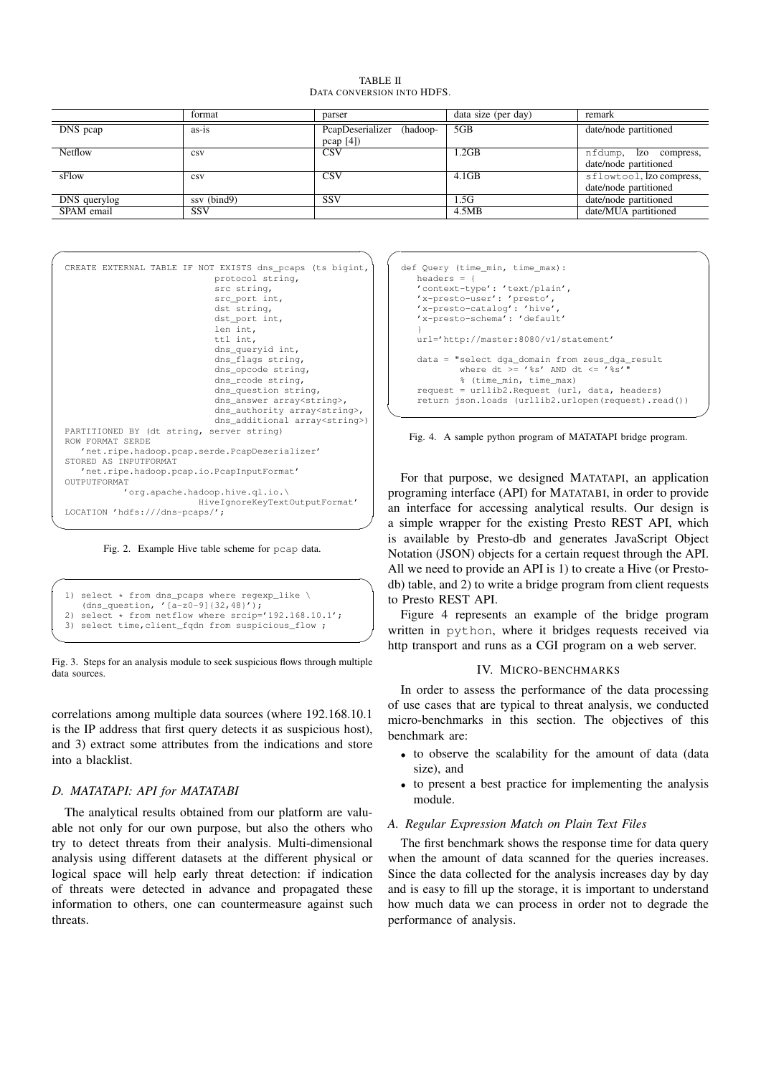TABLE II DATA CONVERSION INTO HDFS.

|                | format      | parser                    | data size (per day) | remark                   |
|----------------|-------------|---------------------------|---------------------|--------------------------|
| DNS peap       | $as-is$     | PcapDeserializer (hadoop- | 5GB                 | date/node partitioned    |
|                |             | pcap [4]                  |                     |                          |
| <b>Netflow</b> | <b>CSV</b>  | <b>CSV</b>                | 1.2GB               | nfdump, Izo compress,    |
|                |             |                           |                     | date/node partitioned    |
| sFlow          | <b>CSV</b>  | <b>CSV</b>                | 4.1GB               | sflowtool, lzo compress, |
|                |             |                           |                     | date/node partitioned    |
| DNS querylog   | ssy (bind9) | SSV                       | .5G                 | date/node partitioned    |
| SPAM email     | <b>SSV</b>  |                           | 4.5MB               | date/MUA partitioned     |



Fig. 2. Example Hive table scheme for pcap data.

```
1) select * from dns_pcaps where regexp_like \
   (dns_question, '[a-z0-9]{32,48}');
  select * from netflow where srcip='192.168.10.1';
3) select time,client_fqdn from suspicious_flow ;
```


correlations among multiple data sources (where 192.168.10.1 is the IP address that first query detects it as suspicious host), and 3) extract some attributes from the indications and store into a blacklist.

# *D. MATATAPI: API for MATATABI*

The analytical results obtained from our platform are valuable not only for our own purpose, but also the others who try to detect threats from their analysis. Multi-dimensional analysis using different datasets at the different physical or logical space will help early threat detection: if indication of threats were detected in advance and propagated these information to others, one can countermeasure against such threats.

```
def Query (time_min, time_max):
   headers = {
   'context-type': 'text/plain',
   'x-presto-user': 'presto',
'x-presto-catalog': 'hive',
   'x-presto-schema': 'default'
   }
   url='http://master:8080/v1/statement'
   data = "select dga_domain from zeus_dga_result
where dt >= '%s' AND dt <= '%s'"
             % (time_min, time_max)
   request = urllib2.\nRequest (url, data, headers)return json.loads (urllib2.urlopen(request).read())
```
 $\sqrt{2\pi i}$ 



 $\qquad \qquad$ 

✒ ✑  $\sim$   $\sim$   $\sim$   $\sim$   $\sim$   $\sim$ For that purpose, we designed MATATAPI, an application programing interface (API) for MATATABI, in order to provide an interface for accessing analytical results. Our design is a simple wrapper for the existing Presto REST API, which is available by Presto-db and generates JavaScript Object Notation (JSON) objects for a certain request through the API. All we need to provide an API is 1) to create a Hive (or Prestodb) table, and 2) to write a bridge program from client requests to Presto REST API.

 $\sim$  ht Figure 4 represents an example of the bridge program written in python, where it bridges requests received via http transport and runs as a CGI program on a web server.

## IV. MICRO-BENCHMARKS

In order to assess the performance of the data processing of use cases that are typical to threat analysis, we conducted micro-benchmarks in this section. The objectives of this benchmark are:

- to observe the scalability for the amount of data (data) size), and
- to present a best practice for implementing the analysis module.

# *A. Regular Expression Match on Plain Text Files*

The first benchmark shows the response time for data query when the amount of data scanned for the queries increases. Since the data collected for the analysis increases day by day and is easy to fill up the storage, it is important to understand how much data we can process in order not to degrade the performance of analysis.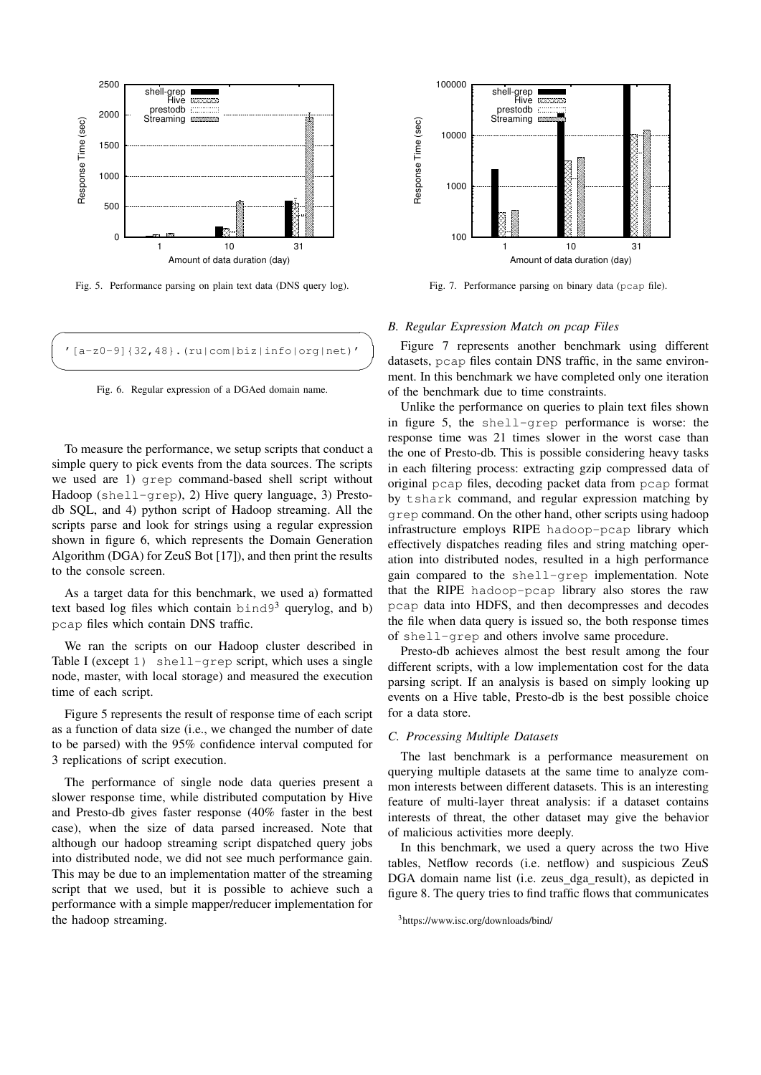

Fig. 5. Performance parsing on plain text data (DNS query log).



Fig. 6. Regular expression of a DGAed domain name.

To measure the performance, we setup scripts that conduct a simple query to pick events from the data sources. The scripts we used are 1) grep command-based shell script without Hadoop (shell-grep), 2) Hive query language, 3) Prestodb SQL, and 4) python script of Hadoop streaming. All the scripts parse and look for strings using a regular expression shown in figure 6, which represents the Domain Generation Algorithm (DGA) for ZeuS Bot [17]), and then print the results to the console screen.

As a target data for this benchmark, we used a) formatted text based log files which contain  $bind9<sup>3</sup>$  querylog, and b) pcap files which contain DNS traffic.

We ran the scripts on our Hadoop cluster described in Table I (except 1) shell-grep script, which uses a single node, master, with local storage) and measured the execution time of each script.

Figure 5 represents the result of response time of each script as a function of data size (i.e., we changed the number of date to be parsed) with the 95% confidence interval computed for 3 replications of script execution.

The performance of single node data queries present a slower response time, while distributed computation by Hive and Presto-db gives faster response (40% faster in the best case), when the size of data parsed increased. Note that although our hadoop streaming script dispatched query jobs into distributed node, we did not see much performance gain. This may be due to an implementation matter of the streaming script that we used, but it is possible to achieve such a performance with a simple mapper/reducer implementation for the hadoop streaming.



Fig. 7. Performance parsing on binary data (pcap file).

# *B. Regular Expression Match on pcap Files*

Figure 7 represents another benchmark using different datasets, pcap files contain DNS traffic, in the same environment. In this benchmark we have completed only one iteration of the benchmark due to time constraints.

Unlike the performance on queries to plain text files shown in figure 5, the shell-grep performance is worse: the response time was 21 times slower in the worst case than the one of Presto-db. This is possible considering heavy tasks in each filtering process: extracting gzip compressed data of original pcap files, decoding packet data from pcap format by tshark command, and regular expression matching by grep command. On the other hand, other scripts using hadoop infrastructure employs RIPE hadoop-pcap library which effectively dispatches reading files and string matching operation into distributed nodes, resulted in a high performance gain compared to the shell-grep implementation. Note that the RIPE hadoop-pcap library also stores the raw pcap data into HDFS, and then decompresses and decodes the file when data query is issued so, the both response times of shell-grep and others involve same procedure.

Presto-db achieves almost the best result among the four different scripts, with a low implementation cost for the data parsing script. If an analysis is based on simply looking up events on a Hive table, Presto-db is the best possible choice for a data store.

## *C. Processing Multiple Datasets*

The last benchmark is a performance measurement on querying multiple datasets at the same time to analyze common interests between different datasets. This is an interesting feature of multi-layer threat analysis: if a dataset contains interests of threat, the other dataset may give the behavior of malicious activities more deeply.

In this benchmark, we used a query across the two Hive tables, Netflow records (i.e. netflow) and suspicious ZeuS DGA domain name list (i.e. zeus dga result), as depicted in figure 8. The query tries to find traffic flows that communicates

<sup>3</sup>https://www.isc.org/downloads/bind/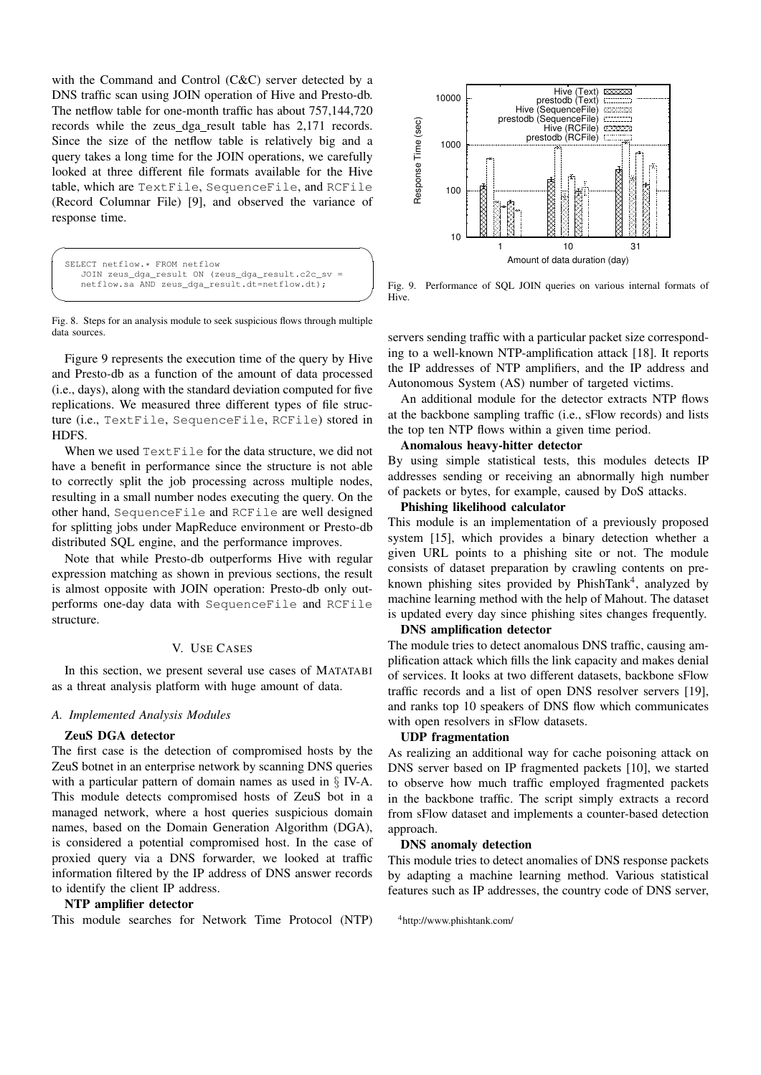with the Command and Control (C&C) server detected by a DNS traffic scan using JOIN operation of Hive and Presto-db. The netflow table for one-month traffic has about 757,144,720 records while the zeus dga result table has 2,171 records. Since the size of the netflow table is relatively big and a query takes a long time for the JOIN operations, we carefully looked at three different file formats available for the Hive table, which are TextFile, SequenceFile, and RCFile (Record Columnar File) [9], and observed the variance of response time.

```
SELECT netflow.* FROM netflow
   JOIN zeus_dga_result ON (zeus_dga_result.c2c_sv =
   netflow.sa AND zeus_dga_result.dt=netflow.dt);
```
Fig. 8. Steps for an analysis module to seek suspicious flows through multiple data sources.

Figure 9 represents the execution time of the query by Hive and Presto-db as a function of the amount of data processed (i.e., days), along with the standard deviation computed for five replications. We measured three different types of file structure (i.e., TextFile, SequenceFile, RCFile) stored in HDFS.

When we used TextFile for the data structure, we did not have a benefit in performance since the structure is not able to correctly split the job processing across multiple nodes, resulting in a small number nodes executing the query. On the other hand, SequenceFile and RCFile are well designed for splitting jobs under MapReduce environment or Presto-db distributed SQL engine, and the performance improves.

Note that while Presto-db outperforms Hive with regular expression matching as shown in previous sections, the result is almost opposite with JOIN operation: Presto-db only outperforms one-day data with SequenceFile and RCFile structure.

# V. USE CASES

In this section, we present several use cases of MATATABI as a threat analysis platform with huge amount of data.

#### *A. Implemented Analysis Modules*

#### ZeuS DGA detector

The first case is the detection of compromised hosts by the ZeuS botnet in an enterprise network by scanning DNS queries with a particular pattern of domain names as used in § IV-A. This module detects compromised hosts of ZeuS bot in a managed network, where a host queries suspicious domain names, based on the Domain Generation Algorithm (DGA), is considered a potential compromised host. In the case of proxied query via a DNS forwarder, we looked at traffic information filtered by the IP address of DNS answer records to identify the client IP address.

## NTP amplifier detector

This module searches for Network Time Protocol (NTP)



**Solution** and the set of the set of the set of the set of the set of the set of the set of the set of the set of the set of the set of the set of the set of the set of the set of the set of the set of the set of the set o Fig. 9. Performance of SQL JOIN queries on various internal formats of Hive.

servers sending traffic with a particular packet size corresponding to a well-known NTP-amplification attack [18]. It reports the IP addresses of NTP amplifiers, and the IP address and Autonomous System (AS) number of targeted victims.

An additional module for the detector extracts NTP flows at the backbone sampling traffic (i.e., sFlow records) and lists the top ten NTP flows within a given time period.

# Anomalous heavy-hitter detector

By using simple statistical tests, this modules detects IP addresses sending or receiving an abnormally high number of packets or bytes, for example, caused by DoS attacks.

# Phishing likelihood calculator

This module is an implementation of a previously proposed system [15], which provides a binary detection whether a given URL points to a phishing site or not. The module consists of dataset preparation by crawling contents on preknown phishing sites provided by PhishTank<sup>4</sup>, analyzed by machine learning method with the help of Mahout. The dataset is updated every day since phishing sites changes frequently.

# DNS amplification detector

The module tries to detect anomalous DNS traffic, causing amplification attack which fills the link capacity and makes denial of services. It looks at two different datasets, backbone sFlow traffic records and a list of open DNS resolver servers [19], and ranks top 10 speakers of DNS flow which communicates with open resolvers in sFlow datasets.

# UDP fragmentation

As realizing an additional way for cache poisoning attack on DNS server based on IP fragmented packets [10], we started to observe how much traffic employed fragmented packets in the backbone traffic. The script simply extracts a record from sFlow dataset and implements a counter-based detection approach.

## DNS anomaly detection

This module tries to detect anomalies of DNS response packets by adapting a machine learning method. Various statistical features such as IP addresses, the country code of DNS server,

<sup>4</sup>http://www.phishtank.com/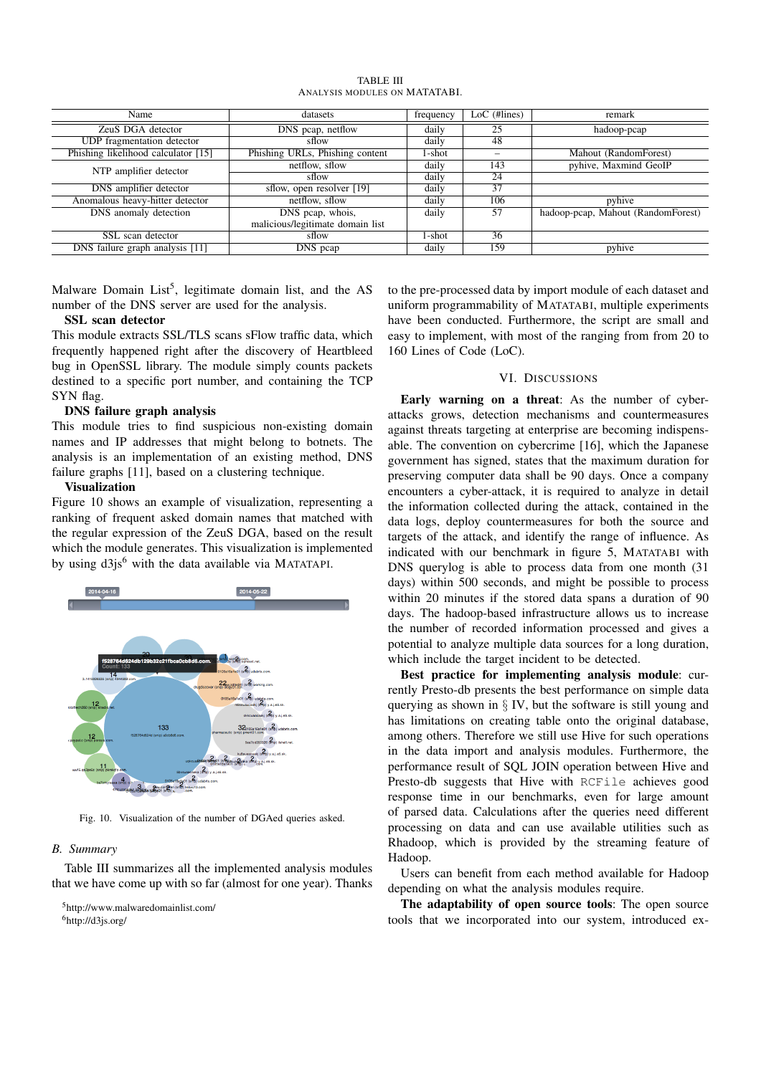| Name                                | datasets                         |        | $LoC$ (#lines) | remark                             |
|-------------------------------------|----------------------------------|--------|----------------|------------------------------------|
| ZeuS DGA detector                   | DNS peap, netflow                | daily  | 25             | hadoop-pcap                        |
| UDP fragmentation detector          | sflow                            | daily  | 48             |                                    |
| Phishing likelihood calculator [15] | Phishing URLs, Phishing content  | 1-shot |                | Mahout (RandomForest)              |
| NTP amplifier detector              | netflow, sflow                   | daily  | 143            | pyhive, Maxmind GeoIP              |
|                                     | sflow                            | daily  | 24             |                                    |
| DNS amplifier detector              | sflow, open resolver [19]        | daily  | 37             |                                    |
| Anomalous heavy-hitter detector     | netflow, sflow                   | daily  | 106            | pyhive                             |
| DNS anomaly detection               | DNS peap, whois,                 | daily  | 57             | hadoop-pcap, Mahout (RandomForest) |
|                                     | malicious/legitimate domain list |        |                |                                    |
| SSL scan detector                   | sflow                            | 1-shot | 36             |                                    |
| DNS failure graph analysis [11]     | DNS peap                         | daily  | 159            | pyhive                             |

TABLE III ANALYSIS MODULES ON MATATABI.

Malware Domain List<sup>5</sup>, legitimate domain list, and the AS number of the DNS server are used for the analysis.

# SSL scan detector

This module extracts SSL/TLS scans sFlow traffic data, which frequently happened right after the discovery of Heartbleed bug in OpenSSL library. The module simply counts packets destined to a specific port number, and containing the TCP SYN flag.

# DNS failure graph analysis

This module tries to find suspicious non-existing domain names and IP addresses that might belong to botnets. The analysis is an implementation of an existing method, DNS failure graphs [11], based on a clustering technique.

# Visualization

Figure 10 shows an example of visualization, representing a ranking of frequent asked domain names that matched with the regular expression of the ZeuS DGA, based on the result which the module generates. This visualization is implemented by using  $d3js^6$  with the data available via MATATAPI.



Fig. 10. Visualization of the number of DGAed queries asked.

#### *B. Summary*

Table III summarizes all the implemented analysis modules that we have come up with so far (almost for one year). Thanks

to the pre-processed data by import module of each dataset and uniform programmability of MATATABI, multiple experiments have been conducted. Furthermore, the script are small and easy to implement, with most of the ranging from from 20 to 160 Lines of Code (LoC).

#### VI. DISCUSSIONS

Early warning on a threat: As the number of cyberattacks grows, detection mechanisms and countermeasures against threats targeting at enterprise are becoming indispensable. The convention on cybercrime [16], which the Japanese government has signed, states that the maximum duration for preserving computer data shall be 90 days. Once a company encounters a cyber-attack, it is required to analyze in detail the information collected during the attack, contained in the data logs, deploy countermeasures for both the source and targets of the attack, and identify the range of influence. As indicated with our benchmark in figure 5, MATATABI with DNS querylog is able to process data from one month (31 days) within 500 seconds, and might be possible to process within 20 minutes if the stored data spans a duration of 90 days. The hadoop-based infrastructure allows us to increase the number of recorded information processed and gives a potential to analyze multiple data sources for a long duration, which include the target incident to be detected.

Best practice for implementing analysis module: currently Presto-db presents the best performance on simple data querying as shown in  $\S$  IV, but the software is still young and has limitations on creating table onto the original database, among others. Therefore we still use Hive for such operations in the data import and analysis modules. Furthermore, the performance result of SQL JOIN operation between Hive and Presto-db suggests that Hive with RCFile achieves good response time in our benchmarks, even for large amount of parsed data. Calculations after the queries need different processing on data and can use available utilities such as Rhadoop, which is provided by the streaming feature of Hadoop.

Users can benefit from each method available for Hadoop depending on what the analysis modules require.

The adaptability of open source tools: The open source tools that we incorporated into our system, introduced ex-

<sup>5</sup>http://www.malwaredomainlist.com/ <sup>6</sup>http://d3js.org/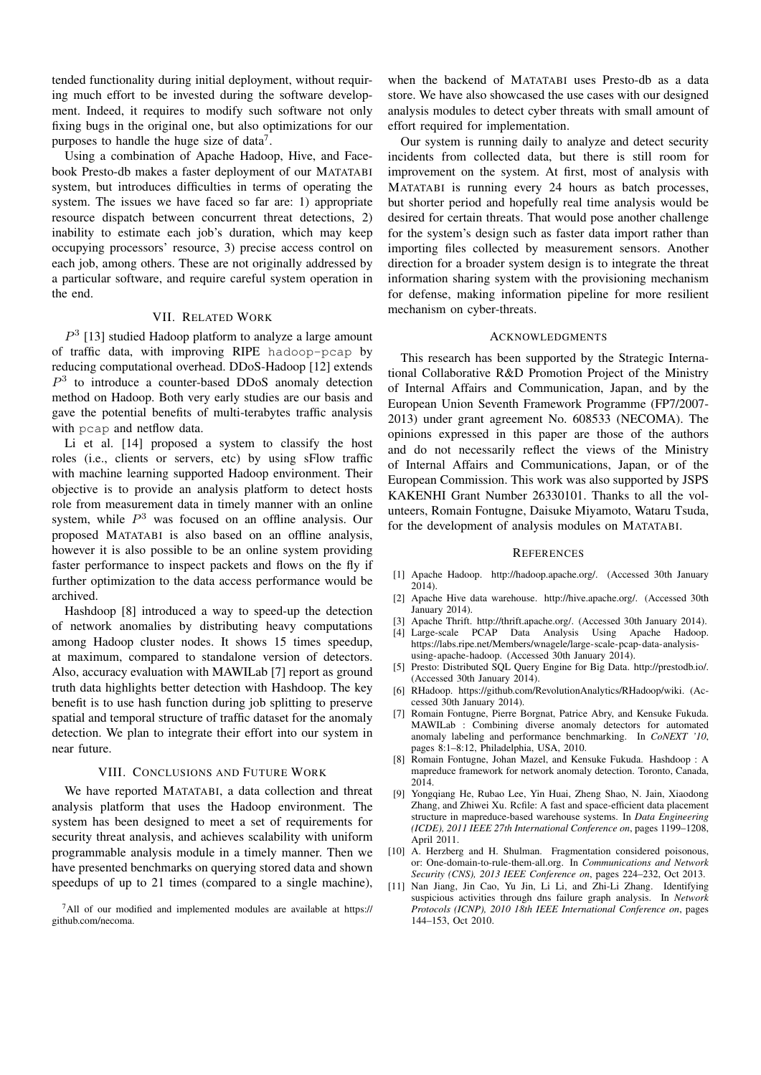tended functionality during initial deployment, without requiring much effort to be invested during the software development. Indeed, it requires to modify such software not only fixing bugs in the original one, but also optimizations for our purposes to handle the huge size of data<sup>7</sup>.

Using a combination of Apache Hadoop, Hive, and Facebook Presto-db makes a faster deployment of our MATATABI system, but introduces difficulties in terms of operating the system. The issues we have faced so far are: 1) appropriate resource dispatch between concurrent threat detections, 2) inability to estimate each job's duration, which may keep occupying processors' resource, 3) precise access control on each job, among others. These are not originally addressed by a particular software, and require careful system operation in the end.

# VII. RELATED WORK

 $P<sup>3</sup>$  [13] studied Hadoop platform to analyze a large amount of traffic data, with improving RIPE hadoop-pcap by reducing computational overhead. DDoS-Hadoop [12] extends  $P<sup>3</sup>$  to introduce a counter-based DDoS anomaly detection method on Hadoop. Both very early studies are our basis and gave the potential benefits of multi-terabytes traffic analysis with pcap and netflow data.

Li et al. [14] proposed a system to classify the host roles (i.e., clients or servers, etc) by using sFlow traffic with machine learning supported Hadoop environment. Their objective is to provide an analysis platform to detect hosts role from measurement data in timely manner with an online system, while  $P<sup>3</sup>$  was focused on an offline analysis. Our proposed MATATABI is also based on an offline analysis, however it is also possible to be an online system providing faster performance to inspect packets and flows on the fly if further optimization to the data access performance would be archived.

Hashdoop [8] introduced a way to speed-up the detection of network anomalies by distributing heavy computations among Hadoop cluster nodes. It shows 15 times speedup, at maximum, compared to standalone version of detectors. Also, accuracy evaluation with MAWILab [7] report as ground truth data highlights better detection with Hashdoop. The key benefit is to use hash function during job splitting to preserve spatial and temporal structure of traffic dataset for the anomaly detection. We plan to integrate their effort into our system in near future.

#### VIII. CONCLUSIONS AND FUTURE WORK

We have reported MATATABI, a data collection and threat analysis platform that uses the Hadoop environment. The system has been designed to meet a set of requirements for security threat analysis, and achieves scalability with uniform programmable analysis module in a timely manner. Then we have presented benchmarks on querying stored data and shown speedups of up to 21 times (compared to a single machine),

when the backend of MATATABI uses Presto-db as a data store. We have also showcased the use cases with our designed analysis modules to detect cyber threats with small amount of effort required for implementation.

Our system is running daily to analyze and detect security incidents from collected data, but there is still room for improvement on the system. At first, most of analysis with MATATABI is running every 24 hours as batch processes, but shorter period and hopefully real time analysis would be desired for certain threats. That would pose another challenge for the system's design such as faster data import rather than importing files collected by measurement sensors. Another direction for a broader system design is to integrate the threat information sharing system with the provisioning mechanism for defense, making information pipeline for more resilient mechanism on cyber-threats.

# ACKNOWLEDGMENTS

This research has been supported by the Strategic International Collaborative R&D Promotion Project of the Ministry of Internal Affairs and Communication, Japan, and by the European Union Seventh Framework Programme (FP7/2007- 2013) under grant agreement No. 608533 (NECOMA). The opinions expressed in this paper are those of the authors and do not necessarily reflect the views of the Ministry of Internal Affairs and Communications, Japan, or of the European Commission. This work was also supported by JSPS KAKENHI Grant Number 26330101. Thanks to all the volunteers, Romain Fontugne, Daisuke Miyamoto, Wataru Tsuda, for the development of analysis modules on MATATABI.

#### **REFERENCES**

- [1] Apache Hadoop. http://hadoop.apache.org/. (Accessed 30th January 2014).
- [2] Apache Hive data warehouse. http://hive.apache.org/. (Accessed 30th January 2014).
- [3] Apache Thrift. http://thrift.apache.org/. (Accessed 30th January 2014). [4] Large-scale PCAP Data Analysis Using Apache Hadoop.
- https://labs.ripe.net/Members/wnagele/large-scale-pcap-data-analysisusing-apache-hadoop. (Accessed 30th January 2014).
- [5] Presto: Distributed SQL Query Engine for Big Data. http://prestodb.io/. (Accessed 30th January 2014).
- [6] RHadoop. https://github.com/RevolutionAnalytics/RHadoop/wiki. (Accessed 30th January 2014).
- [7] Romain Fontugne, Pierre Borgnat, Patrice Abry, and Kensuke Fukuda. MAWILab : Combining diverse anomaly detectors for automated anomaly labeling and performance benchmarking. In *CoNEXT '10*, pages 8:1–8:12, Philadelphia, USA, 2010.
- [8] Romain Fontugne, Johan Mazel, and Kensuke Fukuda. Hashdoop : A mapreduce framework for network anomaly detection. Toronto, Canada, 2014.
- [9] Yongqiang He, Rubao Lee, Yin Huai, Zheng Shao, N. Jain, Xiaodong Zhang, and Zhiwei Xu. Rcfile: A fast and space-efficient data placement structure in mapreduce-based warehouse systems. In *Data Engineering (ICDE), 2011 IEEE 27th International Conference on*, pages 1199–1208, April 2011.
- [10] A. Herzberg and H. Shulman. Fragmentation considered poisonous, or: One-domain-to-rule-them-all.org. In *Communications and Network Security (CNS), 2013 IEEE Conference on*, pages 224–232, Oct 2013.
- [11] Nan Jiang, Jin Cao, Yu Jin, Li Li, and Zhi-Li Zhang. Identifying suspicious activities through dns failure graph analysis. In *Network Protocols (ICNP), 2010 18th IEEE International Conference on*, pages 144–153, Oct 2010.

<sup>7</sup>All of our modified and implemented modules are available at https:// github.com/necoma.